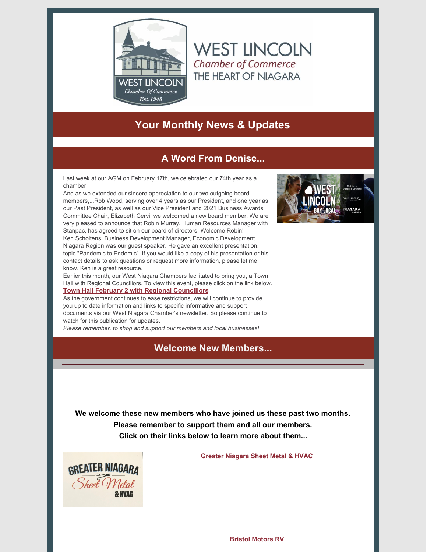

**Your Monthly News & Updates**

**WEST LINCOLN** 

**Chamber of Commerce** THE HEART OF NIAGARA

# **A Word From Denise...**

Last week at our AGM on February 17th, we celebrated our 74th year as a chamber!

And as we extended our sincere appreciation to our two outgoing board members,...Rob Wood, serving over 4 years as our President, and one year as our Past President, as well as our Vice President and 2021 Business Awards Committee Chair, Elizabeth Cervi, we welcomed a new board member. We are very pleased to announce that Robin Murray, Human Resources Manager with Stanpac, has agreed to sit on our board of directors. Welcome Robin! Ken Scholtens, Business Development Manager, Economic Development Niagara Region was our guest speaker. He gave an excellent presentation, topic "Pandemic to Endemic". If you would like a copy of his presentation or his contact details to ask questions or request more information, please let me know. Ken is a great resource.

Earlier this month, our West Niagara Chambers facilitated to bring you, a Town Hall with Regional Councillors. To view this event, please click on the link below. **Town Hall February 2 with Regional [Councillors](https://www.youtube.com/watch?v=Xd2kY4Wzyio)**

As the government continues to ease restrictions, we will continue to provide you up to date information and links to specific informative and support documents via our West Niagara Chamber's newsletter. So please continue to watch for this publication for updates.

*Please remember, to shop and support our members and local businesses!*

## **Welcome New Members...**



**We welcome these new members who have joined us these past two months. Please remember to support them and all our members. Click on their links below to learn more about them...**



**Greater [Niagara](https://www.westlincolnchamber.com/directory/#/action/Listing/value/10707/searchID/98486/cid/1500/id/201/Greater-Niagara-Sheet-Metal--Hvac) Sheet Metal & HVAC**

**Bristol [Motors](https://www.westlincolnchamber.com/directory/#/action/Listing/value/10709/searchID/98488/cid/1500/id/201/Bristol-Motors-RV) RV**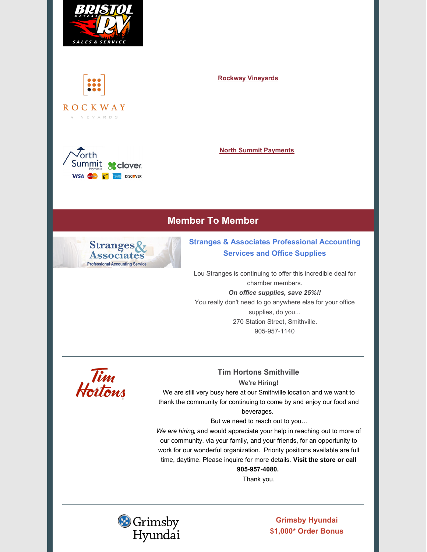



V | N E Y A R D S

 $\sqrt{\alpha}$ rth Summit a clover **VISA** Mastercard **Reserved** DISCOVER

#### **Rockway [Vineyards](https://www.westlincolnchamber.com/directory/#/action/Listing/value/10702/searchID/98490/cid/1500/id/201/Rockway-Vineyards)**

#### **North Summit [Payments](https://www.westlincolnchamber.com/directory/#/action/Listing/value/10714/searchID/98492/cid/1500/id/201/North-Summit-Payments)**

# **Member To Member**



## **Stranges & Associates Professional Accounting Services and Office Supplies**

Lou Stranges is continuing to offer this incredible deal for chamber members. *On office supplies, save 25%!!* You really don't need to go anywhere else for your office supplies, do you... 270 Station Street, Smithville. 905-957-1140



#### **Tim Hortons Smithville We're Hiring!**

We are still very busy here at our Smithville location and we want to thank the community for continuing to come by and enjoy our food and beverages.

# But we need to reach out to you…

*We are hiring*, and would appreciate your help in reaching out to more of our community, via your family, and your friends, for an opportunity to work for our wonderful organization. Priority positions available are full time, daytime. Please inquire for more details. **Visit the store or call**

**905-957-4080.** Thank you.



**Grimsby Hyundai \$1,000\* Order Bonus**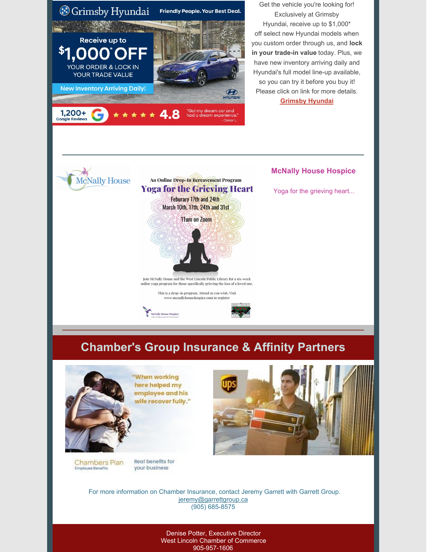

Get the vehicle you're looking for! Exclusively at Grimsby Hyundai, receive up to \$1,000\* off select new Hyundai models when you custom order through us, and **lock in your trade-in value** today. Plus, we have new inventory arriving daily and Hyundai's full model line-up available, so you can try it before you buy it! Please click on link for more details. **[Grimsby](https://utm.pag.ca/uegnY) Hyundai**



An Online Drop-In Bereavement Program **Yoga for the Grieving Heart Feburary 17th and 24th** March 10th, 17th, 24th and 31st 11am on Zoom

Join McNally House and the West Lincoln Public Library for a six-week online yoga program for those specifically grieving the loss of a loved one.

> This is a drop-in program. Attend as you wish. Visit www.mcnallyhousehospice.com to registe





### **McNally House Hospice**

Yoga for the grieving heart...

# **Chamber's Group Insurance & Affinity Partners**



'When working here helped my employee and his wife recover fully."

**Chambers Plan Employee Benefits** 

**Real benefits for** your business

For more information on Chamber Insurance, contact Jeremy Garrett with Garrett Group. [jeremy@garrettgroup.ca](mailto:jeremy@garrettgroup.ca) (905) 685-8575

> Denise Potter, Executive Director West Lincoln Chamber of Commerce 905-957-1606